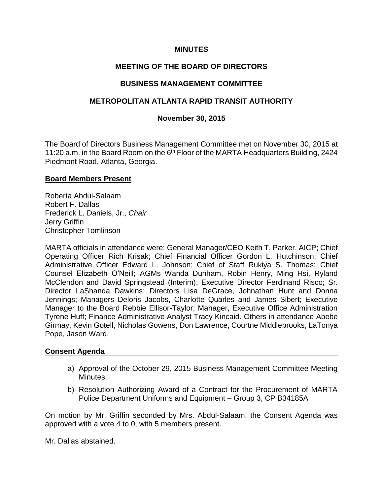## **MINUTES**

# **MEETING OF THE BOARD OF DIRECTORS**

## **BUSINESS MANAGEMENT COMMITTEE**

## **METROPOLITAN ATLANTA RAPID TRANSIT AUTHORITY**

## **November 30, 2015**

The Board of Directors Business Management Committee met on November 30, 2015 at 11:20 a.m. in the Board Room on the 6<sup>th</sup> Floor of the MARTA Headquarters Building, 2424 Piedmont Road, Atlanta, Georgia.

#### **Board Members Present**

Roberta Abdul-Salaam Robert F. Dallas Frederick L. Daniels, Jr., *Chair*  Jerry Griffin Christopher Tomlinson

MARTA officials in attendance were: General Manager/CEO Keith T. Parker, AICP; Chief Operating Officer Rich Krisak; Chief Financial Officer Gordon L. Hutchinson; Chief Administrative Officer Edward L. Johnson; Chief of Staff Rukiya S. Thomas; Chief Counsel Elizabeth O'Neill; AGMs Wanda Dunham, Robin Henry, Ming Hsi, Ryland McClendon and David Springstead (Interim); Executive Director Ferdinand Risco; Sr. Director LaShanda Dawkins; Directors Lisa DeGrace, Johnathan Hunt and Donna Jennings; Managers Deloris Jacobs, Charlotte Quarles and James Sibert; Executive Manager to the Board Rebbie Ellisor-Taylor; Manager, Executive Office Administration Tyrene Huff; Finance Administrative Analyst Tracy Kincaid. Others in attendance Abebe Girmay, Kevin Gotell, Nicholas Gowens, Don Lawrence, Courtne Middlebrooks, LaTonya Pope, Jason Ward.

## **Consent Agenda**

- a) Approval of the October 29, 2015 Business Management Committee Meeting **Minutes**
- b) Resolution Authorizing Award of a Contract for the Procurement of MARTA Police Department Uniforms and Equipment – Group 3, CP B34185A

On motion by Mr. Griffin seconded by Mrs. Abdul-Salaam, the Consent Agenda was approved with a vote 4 to 0, with 5 members present.

Mr. Dallas abstained.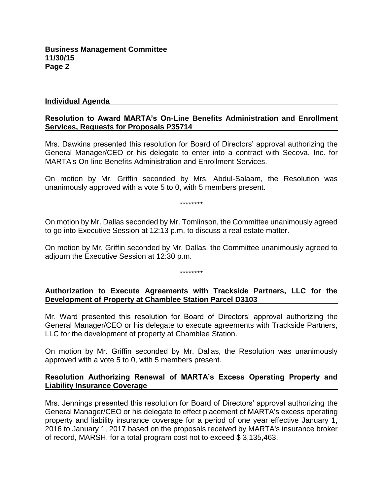#### **Individual Agenda**

### **Resolution to Award MARTA's On-Line Benefits Administration and Enrollment Services, Requests for Proposals P35714**

Mrs. Dawkins presented this resolution for Board of Directors' approval authorizing the General Manager/CEO or his delegate to enter into a contract with Secova, Inc. for MARTA's On-line Benefits Administration and Enrollment Services.

On motion by Mr. Griffin seconded by Mrs. Abdul-Salaam, the Resolution was unanimously approved with a vote 5 to 0, with 5 members present.

\*\*\*\*\*\*\*\*

On motion by Mr. Dallas seconded by Mr. Tomlinson, the Committee unanimously agreed to go into Executive Session at 12:13 p.m. to discuss a real estate matter.

On motion by Mr. Griffin seconded by Mr. Dallas, the Committee unanimously agreed to adjourn the Executive Session at 12:30 p.m.

\*\*\*\*\*\*\*\*

## **Authorization to Execute Agreements with Trackside Partners, LLC for the Development of Property at Chamblee Station Parcel D3103**

Mr. Ward presented this resolution for Board of Directors' approval authorizing the General Manager/CEO or his delegate to execute agreements with Trackside Partners, LLC for the development of property at Chamblee Station.

On motion by Mr. Griffin seconded by Mr. Dallas, the Resolution was unanimously approved with a vote 5 to 0, with 5 members present.

## **Resolution Authorizing Renewal of MARTA's Excess Operating Property and Liability Insurance Coverage**

Mrs. Jennings presented this resolution for Board of Directors' approval authorizing the General Manager/CEO or his delegate to effect placement of MARTA's excess operating property and liability insurance coverage for a period of one year effective January 1, 2016 to January 1, 2017 based on the proposals received by MARTA's insurance broker of record, MARSH, for a total program cost not to exceed \$ 3,135,463.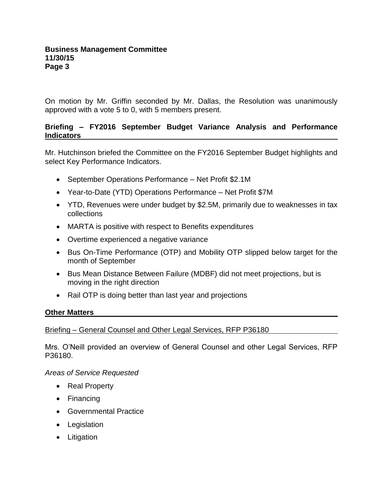On motion by Mr. Griffin seconded by Mr. Dallas, the Resolution was unanimously approved with a vote 5 to 0, with 5 members present.

## **Briefing – FY2016 September Budget Variance Analysis and Performance Indicators**

Mr. Hutchinson briefed the Committee on the FY2016 September Budget highlights and select Key Performance Indicators.

- September Operations Performance Net Profit \$2.1M
- Year-to-Date (YTD) Operations Performance Net Profit \$7M
- YTD, Revenues were under budget by \$2.5M, primarily due to weaknesses in tax collections
- MARTA is positive with respect to Benefits expenditures
- Overtime experienced a negative variance
- Bus On-Time Performance (OTP) and Mobility OTP slipped below target for the month of September
- Bus Mean Distance Between Failure (MDBF) did not meet projections, but is moving in the right direction
- Rail OTP is doing better than last year and projections

## **Other Matters**

#### Briefing – General Counsel and Other Legal Services, RFP P36180

Mrs. O'Neill provided an overview of General Counsel and other Legal Services, RFP P36180.

*Areas of Service Requested*

- Real Property
- Financing
- Governmental Practice
- Legislation
- Litigation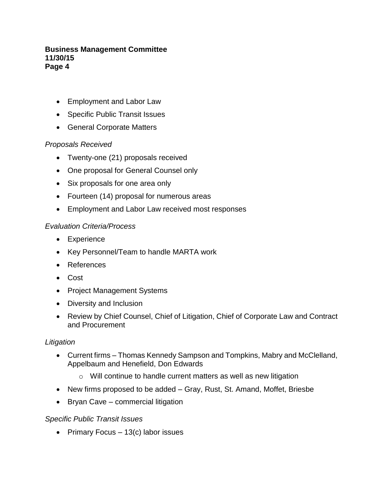### **Business Management Committee 11/30/15 Page 4**

- Employment and Labor Law
- Specific Public Transit Issues
- General Corporate Matters

## *Proposals Received*

- Twenty-one (21) proposals received
- One proposal for General Counsel only
- Six proposals for one area only
- Fourteen (14) proposal for numerous areas
- Employment and Labor Law received most responses

## *Evaluation Criteria/Process*

- Experience
- Key Personnel/Team to handle MARTA work
- References
- Cost
- Project Management Systems
- Diversity and Inclusion
- Review by Chief Counsel, Chief of Litigation, Chief of Corporate Law and Contract and Procurement

## *Litigation*

- Current firms Thomas Kennedy Sampson and Tompkins, Mabry and McClelland, Appelbaum and Henefield, Don Edwards
	- o Will continue to handle current matters as well as new litigation
- New firms proposed to be added Gray, Rust, St. Amand, Moffet, Briesbe
- Bryan Cave commercial litigation

## *Specific Public Transit Issues*

• Primary Focus  $-13(c)$  labor issues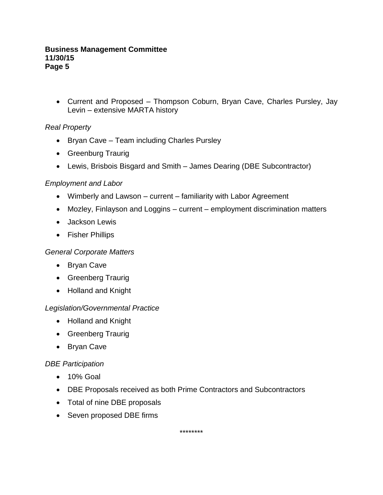#### **Business Management Committee 11/30/15 Page 5**

 Current and Proposed – Thompson Coburn, Bryan Cave, Charles Pursley, Jay Levin – extensive MARTA history

# *Real Property*

- Bryan Cave Team including Charles Pursley
- Greenburg Traurig
- Lewis, Brisbois Bisgard and Smith James Dearing (DBE Subcontractor)

## *Employment and Labor*

- Wimberly and Lawson current familiarity with Labor Agreement
- Mozley, Finlayson and Loggins current employment discrimination matters
- Jackson Lewis
- Fisher Phillips

## *General Corporate Matters*

- Bryan Cave
- Greenberg Traurig
- Holland and Knight

## *Legislation/Governmental Practice*

- Holland and Knight
- Greenberg Traurig
- Bryan Cave

# *DBE Participation*

- 10% Goal
- DBE Proposals received as both Prime Contractors and Subcontractors
- Total of nine DBE proposals
- Seven proposed DBE firms

\*\*\*\*\*\*\*\*